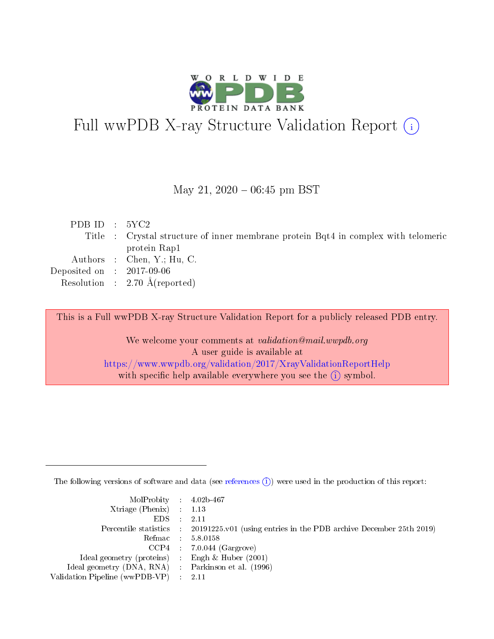

# Full wwPDB X-ray Structure Validation Report (i)

#### May 21,  $2020 - 06:45$  pm BST

| PDB ID : $5YC2$                                                                    |  |
|------------------------------------------------------------------------------------|--|
| Title : Crystal structure of inner membrane protein Bqt4 in complex with telomeric |  |
| protein Rap1                                                                       |  |
| Authors : Chen, Y.; Hu, C.                                                         |  |
| Deposited on $\therefore$ 2017-09-06                                               |  |
| Resolution : $2.70 \text{ Å}$ (reported)                                           |  |

This is a Full wwPDB X-ray Structure Validation Report for a publicly released PDB entry.

We welcome your comments at validation@mail.wwpdb.org A user guide is available at <https://www.wwpdb.org/validation/2017/XrayValidationReportHelp> with specific help available everywhere you see the  $(i)$  symbol.

The following versions of software and data (see [references](https://www.wwpdb.org/validation/2017/XrayValidationReportHelp#references)  $(i)$ ) were used in the production of this report:

| MolProbity : 4.02b-467                              |                                                                                            |
|-----------------------------------------------------|--------------------------------------------------------------------------------------------|
| Xtriage (Phenix) $: 1.13$                           |                                                                                            |
| $EDS = 2.11$                                        |                                                                                            |
|                                                     | Percentile statistics : 20191225.v01 (using entries in the PDB archive December 25th 2019) |
|                                                     | Refmac : 5.8.0158                                                                          |
|                                                     | $CCP4$ : 7.0.044 (Gargrove)                                                                |
| Ideal geometry (proteins) : Engh $\&$ Huber (2001)  |                                                                                            |
| Ideal geometry (DNA, RNA) : Parkinson et al. (1996) |                                                                                            |
| Validation Pipeline (wwPDB-VP) : 2.11               |                                                                                            |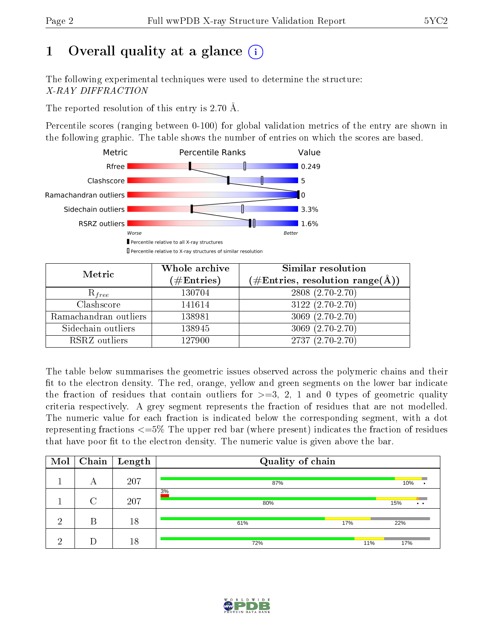# 1 [O](https://www.wwpdb.org/validation/2017/XrayValidationReportHelp#overall_quality)verall quality at a glance  $(i)$

The following experimental techniques were used to determine the structure: X-RAY DIFFRACTION

The reported resolution of this entry is 2.70 Å.

Percentile scores (ranging between 0-100) for global validation metrics of the entry are shown in the following graphic. The table shows the number of entries on which the scores are based.



| Metric                | Whole archive<br>$(\#\text{Entries})$ | Similar resolution<br>$(\#\text{Entries}, \text{resolution range}(\AA))$ |
|-----------------------|---------------------------------------|--------------------------------------------------------------------------|
| $R_{free}$            | 130704                                | $2808(2.70-2.70)$                                                        |
| Clashscore            | 141614                                | 3122 (2.70-2.70)                                                         |
| Ramachandran outliers | 138981                                | $3069(2.70-2.70)$                                                        |
| Sidechain outliers    | 138945                                | $3069(2.70-2.70)$                                                        |
| RSRZ outliers         | 127900                                | $2737(2.70-2.70)$                                                        |

The table below summarises the geometric issues observed across the polymeric chains and their fit to the electron density. The red, orange, yellow and green segments on the lower bar indicate the fraction of residues that contain outliers for  $>=3, 2, 1$  and 0 types of geometric quality criteria respectively. A grey segment represents the fraction of residues that are not modelled. The numeric value for each fraction is indicated below the corresponding segment, with a dot representing fractions  $\epsilon=5\%$  The upper red bar (where present) indicates the fraction of residues that have poor fit to the electron density. The numeric value is given above the bar.

| Mol |        | $\boxed{\text{Chain}}$ Length | Quality of chain |     |                              |  |  |
|-----|--------|-------------------------------|------------------|-----|------------------------------|--|--|
|     | А      | 207                           | 87%              |     | 10%                          |  |  |
|     | $\cap$ | 207                           | 3%<br>80%        |     | 15%<br>$\bullet$ . $\bullet$ |  |  |
| ച   | В      | 18                            | 61%              | 17% | 22%                          |  |  |
| ച   |        | 18                            | 72%              | 11% | 17%                          |  |  |

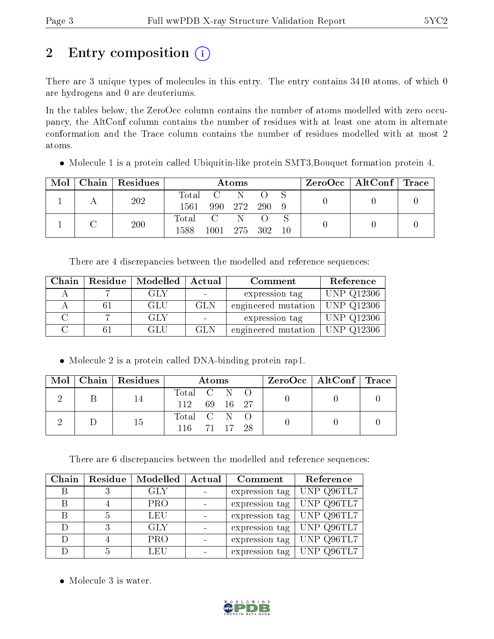# 2 Entry composition  $\left( \cdot \right)$

There are 3 unique types of molecules in this entry. The entry contains 3410 atoms, of which 0 are hydrogens and 0 are deuteriums.

In the tables below, the ZeroOcc column contains the number of atoms modelled with zero occupancy, the AltConf column contains the number of residues with at least one atom in alternate conformation and the Trace column contains the number of residues modelled with at most 2 atoms.

Molecule 1 is a protein called Ubiquitin-like protein SMT3,Bouquet formation protein 4.

| Mol | Chain   Residues | Atoms       |                |         |      |    | $\rm ZeroOcc \mid AltConf \mid Trace$ |  |  |
|-----|------------------|-------------|----------------|---------|------|----|---------------------------------------|--|--|
|     | 202              | Total       |                | -N      |      |    |                                       |  |  |
|     |                  | 1561        |                | 990 272 | -290 |    |                                       |  |  |
|     | 200              | $\rm Total$ | $\overline{C}$ |         |      |    |                                       |  |  |
|     |                  | 1588        | 1001           | 275 302 |      | 10 |                                       |  |  |

There are 4 discrepancies between the modelled and reference sequences:

| Chain | Residue   Modelled | Actual | Comment             | Reference    |
|-------|--------------------|--------|---------------------|--------------|
|       | GLY                |        | expression tag      | UNP Q12306   |
|       | GLU                | GLN    | engineered mutation | UNP Q12306   |
|       | GLY                |        | expression tag      | UNP Q12306   |
|       | GLU                | GLN    | engineered mutation | UNP $Q12306$ |

Molecule 2 is a protein called DNA-binding protein rap1.

| Mol | Chain   Residues | Atoms                        | $\rm ZeroOcc$   AltConf   Trace |  |
|-----|------------------|------------------------------|---------------------------------|--|
|     | 14               | Total C N O<br>112 69 16 27  |                                 |  |
|     | 15               | Total C N<br>116 71 17<br>28 |                                 |  |

There are 6 discrepancies between the modelled and reference sequences:

| Chain | Residue | Modelled   | Actual | Comment        | Reference  |
|-------|---------|------------|--------|----------------|------------|
|       |         | <b>GLY</b> |        | expression tag | UNP Q96TL7 |
|       |         | <b>PRO</b> |        | expression tag | UNP Q96TL7 |
|       |         | <b>LEU</b> |        | expression tag | UNP Q96TL7 |
|       |         | <b>GLY</b> |        | expression tag | UNP Q96TL7 |
|       |         | <b>PRO</b> |        | expression tag | UNP Q96TL7 |
|       |         | LEU        |        | expression tag | UNP Q96TL7 |

• Molecule 3 is water.

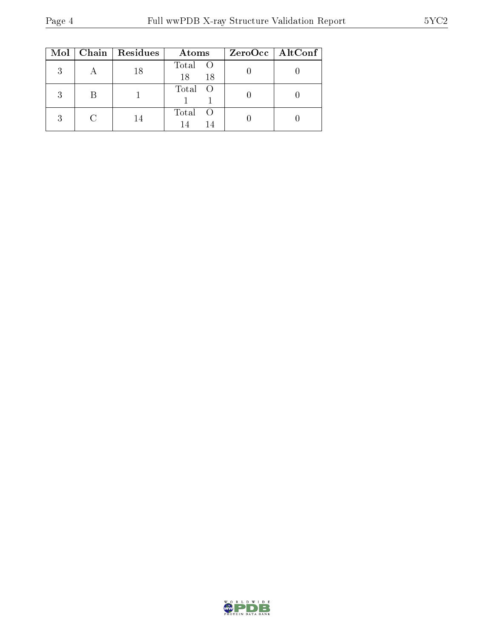|   | Mol   Chain   Residues | Atoms               | ZeroOcc   AltConf |
|---|------------------------|---------------------|-------------------|
| 3 | 18                     | Total O<br>18<br>18 |                   |
| २ |                        | Total O             |                   |
| 2 | 14                     | Total<br>14         |                   |

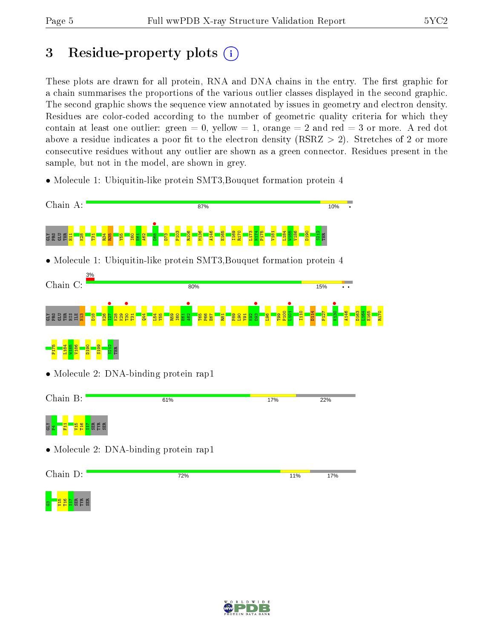# 3 Residue-property plots  $(i)$

These plots are drawn for all protein, RNA and DNA chains in the entry. The first graphic for a chain summarises the proportions of the various outlier classes displayed in the second graphic. The second graphic shows the sequence view annotated by issues in geometry and electron density. Residues are color-coded according to the number of geometric quality criteria for which they contain at least one outlier: green  $= 0$ , yellow  $= 1$ , orange  $= 2$  and red  $= 3$  or more. A red dot above a residue indicates a poor fit to the electron density (RSRZ  $> 2$ ). Stretches of 2 or more consecutive residues without any outlier are shown as a green connector. Residues present in the sample, but not in the model, are shown in grey.

• Molecule 1: Ubiquitin-like protein SMT3, Bouquet formation protein 4



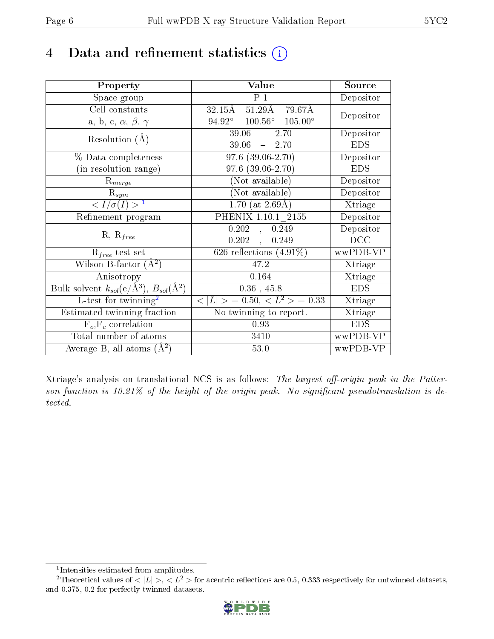# 4 Data and refinement statistics  $(i)$

| Property                                                             | Value                                                 | Source     |
|----------------------------------------------------------------------|-------------------------------------------------------|------------|
| Space group                                                          | $P_1$                                                 | Depositor  |
| Cell constants                                                       | $32.15\text{\AA}$ $51.29\text{\AA}$ $79.67\text{\AA}$ |            |
| a, b, c, $\alpha$ , $\beta$ , $\gamma$                               | $94.92^{\circ}$ $100.56^{\circ}$ $105.00^{\circ}$     | Depositor  |
| Resolution $(A)$                                                     | $39.06 - 2.70$                                        | Depositor  |
|                                                                      | $39.06 - 2.70$                                        | <b>EDS</b> |
| % Data completeness                                                  | $97.6$ $(39.06 - 2.70)$                               | Depositor  |
| (in resolution range)                                                | $97.6$ $(39.06 - 2.70)$                               | <b>EDS</b> |
| $R_{merge}$                                                          | (Not available)                                       | Depositor  |
| $\mathrm{R}_{sym}$                                                   | (Not available)                                       | Depositor  |
| $\langle I/\sigma(I) \rangle^{-1}$                                   | $1.70$ (at 2.69Å)                                     | Xtriage    |
| Refinement program                                                   | PHENIX 1.10.1 2155                                    | Depositor  |
|                                                                      | 0.202<br>0.249<br>$\frac{1}{2}$                       | Depositor  |
| $R, R_{free}$                                                        | $0.202$ ,<br>0.249                                    | DCC        |
| $\mathcal{R}_{free}$ test set                                        | 626 reflections $(4.91\%)$                            | wwPDB-VP   |
| Wilson B-factor $(A^2)$                                              | 47.2                                                  | Xtriage    |
| Anisotropy                                                           | 0.164                                                 | Xtriage    |
| Bulk solvent $k_{sol}(e/\mathring{A}^3)$ , $B_{sol}(\mathring{A}^2)$ | $0.36$ , 45.8                                         | <b>EDS</b> |
| L-test for twinning <sup>2</sup>                                     | $< L >$ = 0.50, $< L^2 >$ = 0.33                      | Xtriage    |
| Estimated twinning fraction                                          | No twinning to report.                                | Xtriage    |
| $F_o, F_c$ correlation                                               | 0.93                                                  | <b>EDS</b> |
| Total number of atoms                                                | 3410                                                  | wwPDB-VP   |
| Average B, all atoms $(A^2)$                                         | 53.0                                                  | wwPDB-VP   |

Xtriage's analysis on translational NCS is as follows: The largest off-origin peak in the Patterson function is  $10.21\%$  of the height of the origin peak. No significant pseudotranslation is detected.

<sup>&</sup>lt;sup>2</sup>Theoretical values of  $\langle |L| \rangle$ ,  $\langle L^2 \rangle$  for acentric reflections are 0.5, 0.333 respectively for untwinned datasets, and 0.375, 0.2 for perfectly twinned datasets.



<span id="page-5-1"></span><span id="page-5-0"></span><sup>1</sup> Intensities estimated from amplitudes.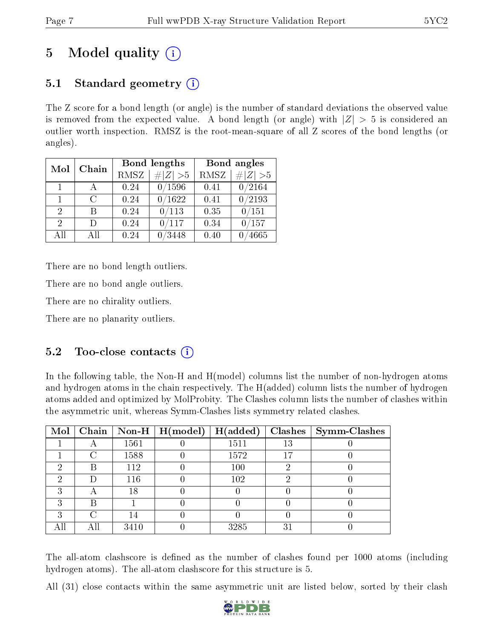# 5 Model quality  $(i)$

# 5.1 Standard geometry  $(i)$

The Z score for a bond length (or angle) is the number of standard deviations the observed value is removed from the expected value. A bond length (or angle) with  $|Z| > 5$  is considered an outlier worth inspection. RMSZ is the root-mean-square of all Z scores of the bond lengths (or angles).

| Chain<br>Mol                |        |      | Bond lengths | Bond angles |             |  |
|-----------------------------|--------|------|--------------|-------------|-------------|--|
|                             |        | RMSZ | $\# Z  > 5$  | RMSZ        | # $ Z  > 5$ |  |
| $\overline{1}$              |        | 0.24 | 0/1596       | 0.41        | 0/2164      |  |
| 1.                          | $\cap$ | 0.24 | 0/1622       | 0.41        | /2193       |  |
| $\mathcal{D}_{\mathcal{A}}$ | R      | 0.24 | 0/113        | 0.35        | 0/151       |  |
| 2                           | $\Box$ | 0.24 | 0/117        | 0.34        | 0/157       |  |
| AH                          | АH     | 0.24 | 3448         | 0.40        | 4665        |  |

There are no bond length outliers.

There are no bond angle outliers.

There are no chirality outliers.

There are no planarity outliers.

### 5.2 Too-close contacts  $\overline{a}$

In the following table, the Non-H and H(model) columns list the number of non-hydrogen atoms and hydrogen atoms in the chain respectively. The H(added) column lists the number of hydrogen atoms added and optimized by MolProbity. The Clashes column lists the number of clashes within the asymmetric unit, whereas Symm-Clashes lists symmetry related clashes.

| Mol |   |      | Chain   Non-H   $H (model)$ | H(added) |    | Clashes   Symm-Clashes |
|-----|---|------|-----------------------------|----------|----|------------------------|
|     |   | 1561 |                             | 1511     | 13 |                        |
|     | C | 1588 |                             | 1572     | 17 |                        |
| ച   | R | 112  |                             | 100      |    |                        |
| ച   |   | 116  |                             | 102      |    |                        |
| ົ   |   | 18   |                             |          |    |                        |
| 3   | В |      |                             |          |    |                        |
| 9   | ⌒ |      |                             |          |    |                        |
|     |   | 3410 |                             | 3285     | 31 |                        |

The all-atom clashscore is defined as the number of clashes found per 1000 atoms (including hydrogen atoms). The all-atom clashscore for this structure is 5.

All (31) close contacts within the same asymmetric unit are listed below, sorted by their clash

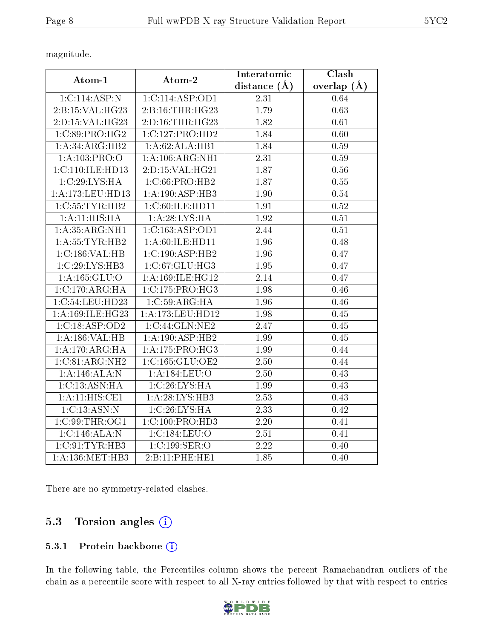magnitude.

| Atom-1               | Atom-2              | Interatomic<br>distance $(\AA)$ | Clash<br>overlap $(A)$ |
|----------------------|---------------------|---------------------------------|------------------------|
| 1:C:114:ASP:N        | 1:C:114:ASP:OD1     | 2.31                            | 0.64                   |
| 2:B:15:VAL:HG23      | 2:B:16:THR:HG23     | 1.79                            | 0.63                   |
| 2:D:15:VAL:H G23     | 2: D: 16: THR: HG23 | $\overline{1.82}$               | 0.61                   |
| 1:C:89:PRO:HG2       | 1:C:127:PRO:HD2     | 1.84                            | 0.60                   |
| 1:A:34:ARG:HB2       | 1:A:62:ALA:HB1      | 1.84                            | 0.59                   |
| 1:A:103:PRO:O        | 1:A:106:ARG:NH1     | 2.31                            | 0.59                   |
| 1: C: 110: ILE: HD13 | 2:D:15:VAL:HG21     | 1.87                            | 0.56                   |
| 1:C:29:LYS:HA        | 1:C:66:PRO:HB2      | 1.87                            | 0.55                   |
| 1:A:173:LEU:HD13     | 1:A:190:ASP:HB3     | 1.90                            | 0.54                   |
| 1:C:55:TYR:HB2       | 1:C:60:ILE:HD11     | 1.91                            | 0.52                   |
| 1:A:11:HIS:HA        | 1:A:28:LYS:HA       | 1.92                            | 0.51                   |
| 1: A:35: ARG: NH1    | 1:C:163:ASP:OD1     | 2.44                            | 0.51                   |
| 1: A: 55: TYR: HB2   | 1: A:60: ILE: HD11  | 1.96                            | 0.48                   |
| 1:C:186:VAL:HB       | 1:C:190:ASP:HB2     | 1.96                            | 0.47                   |
| 1:C:29:LYS:HB3       | 1:C:67:GLU:HG3      | $\overline{1.95}$               | 0.47                   |
| 1:A:165:GLU:O        | 1:A:169:ILE:HG12    | 2.14                            | 0.47                   |
| 1:C:170:ARG:HA       | 1:C:175:PRO:HG3     | 1.98                            | 0.46                   |
| 1:C:54:LEU:HD23      | 1:C:59:ARG:HA       | 1.96                            | 0.46                   |
| 1:A:169:ILE:HG23     | 1:A:173:LEU:HD12    | 1.98                            | 0.45                   |
| 1:C:18:ASP:OD2       | 1:C:44:GLN:NE2      | 2.47                            | 0.45                   |
| 1:A:186:VAL:HB       | 1:A:190:ASP:HB2     | 1.99                            | 0.45                   |
| 1:A:170:ARG:HA       | 1: A:175: PRO:HG3   | 1.99                            | 0.44                   |
| 1:C:81:ARG:NH2       | 1:C:165:GLU:OE2     | 2.50                            | 0.44                   |
| 1:A:146:ALA:N        | 1:A:184:LEU:O       | 2.50                            | 0.43                   |
| 1:C:13:ASN:HA        | 1:C:26:LYS:HA       | 1.99                            | 0.43                   |
| 1:A:11:HIS:CE1       | 1:A:28:LYS:HB3      | 2.53                            | 0.43                   |
| 1:C:13:ASN:N         | 1:C:26:LYS:HA       | $\overline{2.33}$               | 0.42                   |
| 1:C:99:THR:OG1       | 1: C: 100: PRO: HD3 | 2.20                            | 0.41                   |
| 1:C:146:ALA:N        | 1:C:184:LEU:O       | 2.51                            | 0.41                   |
| 1:C:91:TYR:HB3       | 1:C:199:SER:O       | 2.22                            | 0.40                   |
| 1: A: 136: MET: HB3  | 2:B:11:PHE:HE1      | 1.85                            | 0.40                   |

There are no symmetry-related clashes.

# 5.3 Torsion angles (i)

### 5.3.1 Protein backbone (i)

In the following table, the Percentiles column shows the percent Ramachandran outliers of the chain as a percentile score with respect to all X-ray entries followed by that with respect to entries

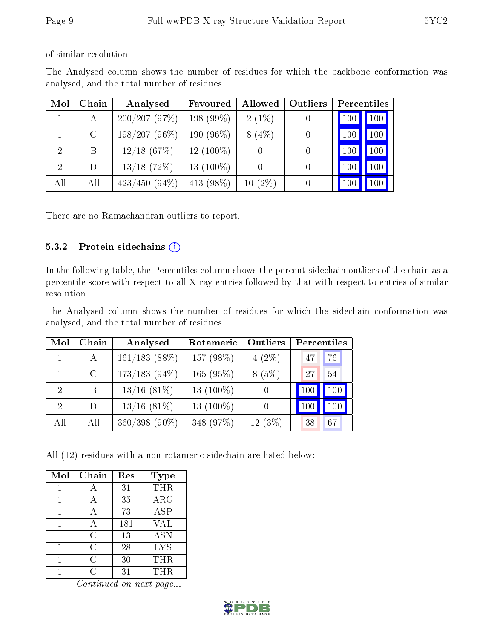of similar resolution.

| Mol            | Chain   | Analysed        | Favoured     | Allowed       | <b>Outliers</b> |      | Percentiles  |
|----------------|---------|-----------------|--------------|---------------|-----------------|------|--------------|
|                | А       | 200/207(97%)    | 198 (99%)    | $2(1\%)$      |                 | 100  | $\sqrt{100}$ |
|                | $\rm C$ | $198/207(96\%)$ | 190 (96%)    | $8(4\%)$      |                 | 10C  | 100          |
| $\overline{2}$ | B       | $12/18$ (67\%)  | $12(100\%)$  | $\theta$      | 0               | -100 | 100          |
| $\overline{2}$ | D       | $13/18$ (72%)   | 13 $(100\%)$ | $\theta$      | 0               | -100 | 100          |
| All            | All     | $423/450(94\%)$ | 413 (98\%)   | $(2\%)$<br>10 |                 | 100  | 100          |

The Analysed column shows the number of residues for which the backbone conformation was analysed, and the total number of residues.

There are no Ramachandran outliers to report.

#### 5.3.2 Protein sidechains (i)

In the following table, the Percentiles column shows the percent sidechain outliers of the chain as a percentile score with respect to all X-ray entries followed by that with respect to entries of similar resolution.

The Analysed column shows the number of residues for which the sidechain conformation was analysed, and the total number of residues.

| Mol                         | Chain        | Analysed         | Rotameric    | Outliers | Percentiles |     |
|-----------------------------|--------------|------------------|--------------|----------|-------------|-----|
|                             | A            | $161/183$ (88%)  | 157 (98%)    | $4(2\%)$ | 47          | 76  |
|                             | $\rm C$      | $173/183$ (94\%) | 165(95%)     | 8(5%)    | 27          | 54  |
| $\mathcal{D}_{\mathcal{L}}$ | B            | $13/16$ (81\%)   | 13 $(100\%)$ |          | 100         | 100 |
| $\mathcal{D}$               | $\mathbf{D}$ | $13/16$ (81\%)   | 13 $(100\%)$ |          | 100         | 100 |
| All                         | All          | $360/398(90\%)$  | 348 (97%)    | 12(3%)   | 38          | 67  |

All (12) residues with a non-rotameric sidechain are listed below:

| Mol | Chain | Res | Type       |
|-----|-------|-----|------------|
| 1   |       | 31  | THR        |
| 1   | А     | 35  | ARG        |
| 1   |       | 73  | <b>ASP</b> |
|     |       | 181 | <b>VAL</b> |
|     | С     | 13  | <b>ASN</b> |
|     | C     | 28  | <b>LYS</b> |
|     | C     | 30  | THR        |
|     |       | 31  | THR.       |

Continued on next page...

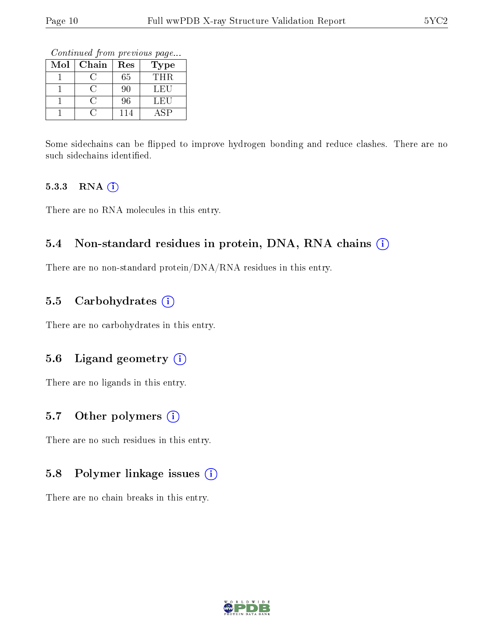Continued from previous page...

| Mol | Chain | Res | Type |
|-----|-------|-----|------|
|     |       | 65  | THR. |
|     |       | 90  | LEU  |
|     |       | 96  | LEU  |
|     |       | 114 | \SP. |

Some sidechains can be flipped to improve hydrogen bonding and reduce clashes. There are no such sidechains identified.

#### 5.3.3 RNA (i)

There are no RNA molecules in this entry.

### 5.4 Non-standard residues in protein, DNA, RNA chains (i)

There are no non-standard protein/DNA/RNA residues in this entry.

#### 5.5 Carbohydrates (i)

There are no carbohydrates in this entry.

### 5.6 Ligand geometry  $(i)$

There are no ligands in this entry.

### 5.7 [O](https://www.wwpdb.org/validation/2017/XrayValidationReportHelp#nonstandard_residues_and_ligands)ther polymers (i)

There are no such residues in this entry.

### 5.8 Polymer linkage issues (i)

There are no chain breaks in this entry.

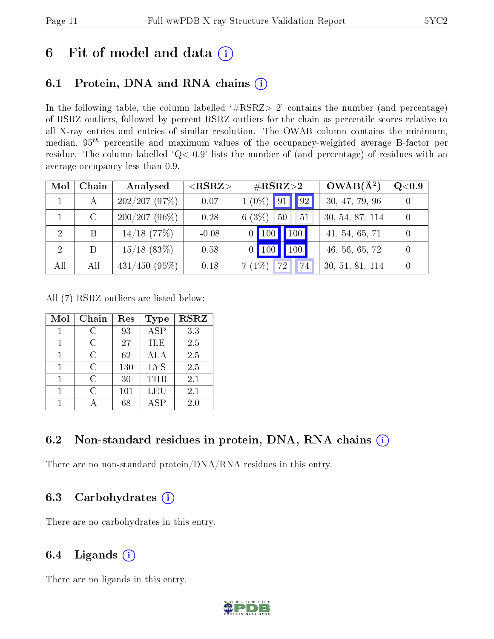# 6 Fit of model and data  $(i)$

# 6.1 Protein, DNA and RNA chains  $(i)$

In the following table, the column labelled  $#RSRZ> 2'$  contains the number (and percentage) of RSRZ outliers, followed by percent RSRZ outliers for the chain as percentile scores relative to all X-ray entries and entries of similar resolution. The OWAB column contains the minimum, median,  $95<sup>th</sup>$  percentile and maximum values of the occupancy-weighted average B-factor per residue. The column labelled ' $Q< 0.9$ ' lists the number of (and percentage) of residues with an average occupancy less than 0.9.

| Mol | Chain         | Analysed        | $<$ RSRZ $>$ | $\rm \#RSRZ{>}2$             | $OWAB(A^2)$     | Q <sub>0.9</sub> |
|-----|---------------|-----------------|--------------|------------------------------|-----------------|------------------|
|     |               | 202/207(97%)    | 0.07         | $1(0\%)$ 91 92               | 30, 47, 79, 96  |                  |
|     | $\mathcal{C}$ | $200/207(96\%)$ | 0.28         | 6 $(3%)$<br>$-50$<br>51      | 30, 54, 87, 114 |                  |
| 2   | B             | $14/18$ (77\%)  | $-0.08$      | $0$ 100 100                  | 41, 54, 65, 71  |                  |
| 2   | D             | $15/18$ (83\%)  | 0.58         | $\parallel$ 100<br>$0$   100 | 46, 56, 65, 72  |                  |
| All | All           | $431/450$ (95%) | 0.18         | $7(1\%)$<br><b>72</b><br>74  | 30, 51, 81, 114 |                  |

All (7) RSRZ outliers are listed below:

| Mol | Chain | Res | <b>Type</b> | <b>RSRZ</b> |
|-----|-------|-----|-------------|-------------|
|     | C     | 93  | <b>ASP</b>  | 3.3         |
|     | C     | 27  | ILE         | 2.5         |
|     | C     | 62  | ALA         | 2.5         |
|     | C     | 130 | <b>LYS</b>  | 2.5         |
|     | C     | 30  | <b>THR</b>  | 2.1         |
|     | C     | 101 | LEU         | 2.1         |
|     |       | 68  | A SP        | 2.0         |

### 6.2 Non-standard residues in protein, DNA, RNA chains  $(i)$

There are no non-standard protein/DNA/RNA residues in this entry.

### 6.3 Carbohydrates  $(i)$

There are no carbohydrates in this entry.

### 6.4 Ligands  $(i)$

There are no ligands in this entry.